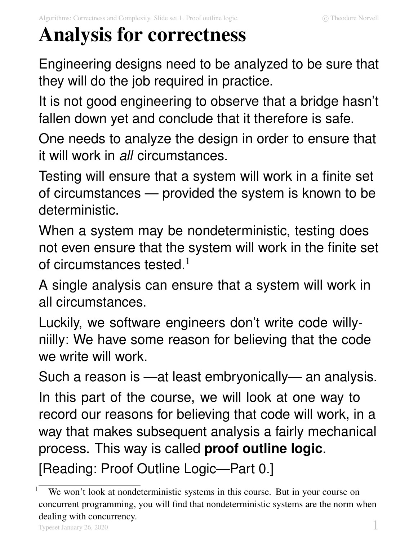# **Analysis for correctness**

Engineering designs need to be analyzed to be sure that they will do the job required in practice.

It is not good engineering to observe that a bridge hasn't fallen down yet and conclude that it therefore is safe.

One needs to analyze the design in order to ensure that it will work in all circumstances.

Testing will ensure that a system will work in a finite set of circumstances — provided the system is known to be deterministic.

When a system may be nondeterministic, testing does not even ensure that the system will work in the finite set of circumstances tested.<sup>1</sup>

A single analysis can ensure that a system will work in all circumstances.

Luckily, we software engineers don't write code willyniilly: We have some reason for believing that the code we write will work.

Such a reason is —at least embryonically— an analysis.

In this part of the course, we will look at one way to record our reasons for believing that code will work, in a way that makes subsequent analysis a fairly mechanical process. This way is called **proof outline logic**.

[Reading: Proof Outline Logic—Part 0.]

<sup>&</sup>lt;sup>1</sup> We won't look at nondeterministic systems in this course. But in your course on concurrent programming, you will find that nondeterministic systems are the norm when dealing with concurrency.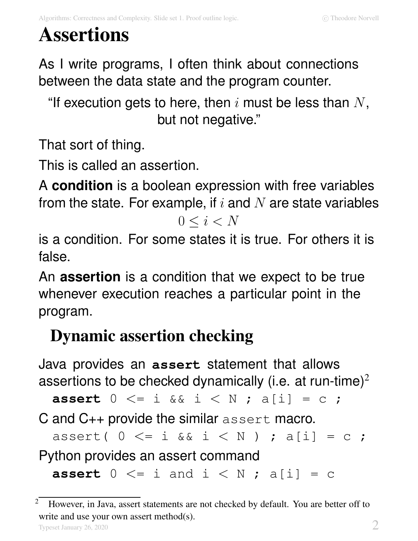## **Assertions**

As I write programs, I often think about connections between the data state and the program counter.

"If execution gets to here, then i must be less than  $N$ , but not negative."

That sort of thing.

This is called an assertion.

A **condition** is a boolean expression with free variables from the state. For example, if  $i$  and  $N$  are state variables

 $0 \leq i \leq N$ 

is a condition. For some states it is true. For others it is false.

An **assertion** is a condition that we expect to be true whenever execution reaches a particular point in the program.

## **Dynamic assertion checking**

Java provides an **assert** statement that allows assertions to be checked dynamically (i.e. at run-time)<sup>2</sup>

**assert**  $0 \leq i$  &  $i \leq N$  ;  $a[i] = c$  ;

C and C++ provide the similar assert macro.

assert(  $0 \leq i$  &  $i \leq N$  ) ; a[i] = c ;

Python provides an assert command

**assert**  $0 \leq i$  and  $i \leq N$ ;  $a[i] = c$ 

<sup>&</sup>lt;sup>2</sup> However, in Java, assert statements are not checked by default. You are better off to write and use your own assert method(s). Typeset January 26, 2020 2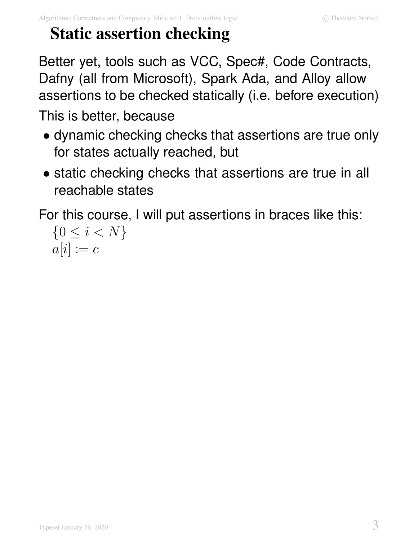## **Static assertion checking**

Better yet, tools such as VCC, Spec#, Code Contracts, Dafny (all from Microsoft), Spark Ada, and Alloy allow assertions to be checked statically (i.e. before execution)

This is better, because

- dynamic checking checks that assertions are true only for states actually reached, but
- static checking checks that assertions are true in all reachable states

For this course, I will put assertions in braces like this:

 ${0 \le i \le N}$  $a[i] := c$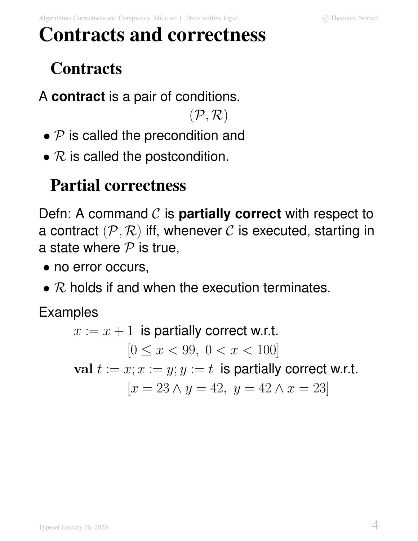# **Contracts and correctness**

## **Contracts**

A **contract** is a pair of conditions.

 $(\mathcal{P}, \mathcal{R})$ 

- $\bullet$   $\mathcal P$  is called the precondition and
- $R$  is called the postcondition.

## **Partial correctness**

Defn: A command C is **partially correct** with respect to a contract  $(\mathcal{P}, \mathcal{R})$  iff, whenever C is executed, starting in a state where  $P$  is true,

- no error occurs,
- $R$  holds if and when the execution terminates.

Examples

 $x := x + 1$  is partially correct w.r.t.  $[0 \le x < 99, 0 < x < 100]$ val  $t := x; x := y; y := t$  is partially correct w.r.t.  $[x = 23 \land y = 42, y = 42 \land x = 23]$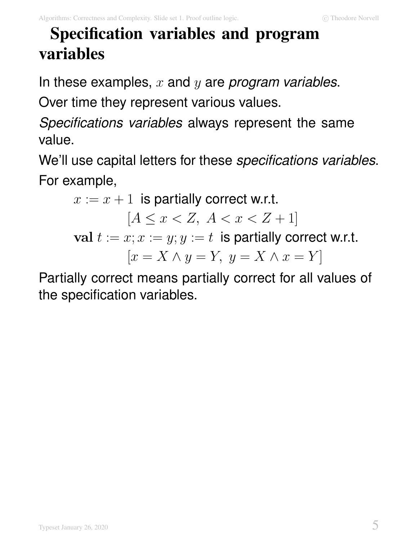## **Specification variables and program variables**

In these examples,  $x$  and  $y$  are program variables. Over time they represent various values.

Specifications variables always represent the same value.

We'll use capital letters for these specifications variables. For example,

$$
x := x + 1
$$
 is partially correct w.r.t.  
\n
$$
[A \le x < Z, \ A < x < Z + 1]
$$
\n
$$
x = x; x := y; y := t
$$
 is partially correct w.r.t.  
\n
$$
[x = X \land y = Y, \ y = X \land x = Y]
$$

Partially correct means partially correct for all values of the specification variables.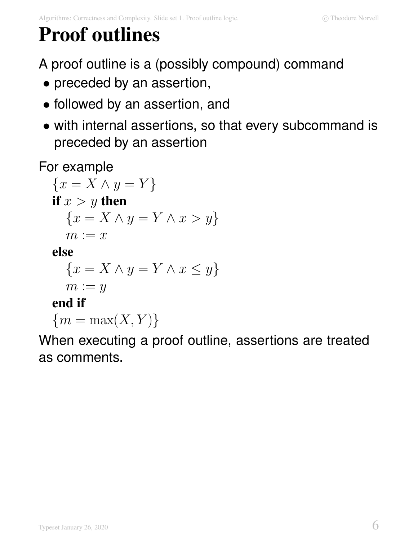# **Proof outlines**

A proof outline is a (possibly compound) command

- preceded by an assertion,
- followed by an assertion, and
- with internal assertions, so that every subcommand is preceded by an assertion

### For example

$$
\{x = X \land y = Y\}
$$
  
if  $x > y$  then  

$$
\{x = X \land y = Y \land x > y\}
$$
  
 $m := x$ 

#### **else**

$$
\{x = X \land y = Y \land x \le y\}
$$
  

$$
m := y
$$

#### **end if**

 ${m = \max(X, Y)}$ 

When executing a proof outline, assertions are treated as comments.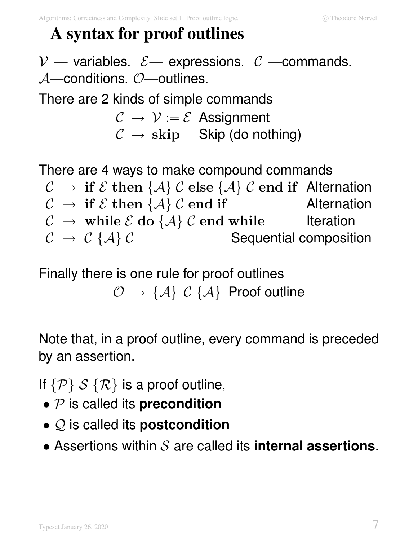## **A syntax for proof outlines**

 $V$  — variables.  $\mathcal{E}$  — expressions.  $\mathcal{C}$  —commands. A—conditions. O—outlines.

There are 2 kinds of simple commands

$$
\begin{array}{l} \mathcal{C} \rightarrow \mathcal{V} := \mathcal{E} \text{ Assignment} \\ \mathcal{C} \rightarrow \text{skip} \text{ } \text{skip (do nothing)} \end{array}
$$

There are 4 ways to make compound commands

 $C \rightarrow \text{ if } \mathcal{E} \text{ then } \{A\} \mathcal{C} \text{ else } \{A\} \mathcal{C} \text{ end if } \text{ Alternation}$  $C \rightarrow \text{ if } \mathcal{E} \text{ then } \{\mathcal{A}\}\ \mathcal{C} \text{ end if }$  Alternation  $\mathcal{C} \rightarrow \text{while } \mathcal{E} \text{ do } \{A\} \; \mathcal{C} \text{ end while } \qquad \text{Iteration}$  $C \rightarrow C \{A\} C$  Sequential composition

Finally there is one rule for proof outlines  $\mathcal{O} \rightarrow \{A\} \mathcal{C} \{A\}$  Proof outline

Note that, in a proof outline, every command is preceded by an assertion.

If  $\{\mathcal{P}\}\mathcal{S}\{\mathcal{R}\}\$  is a proof outline,

- P is called its **precondition**
- Q is called its **postcondition**
- Assertions within S are called its **internal assertions**.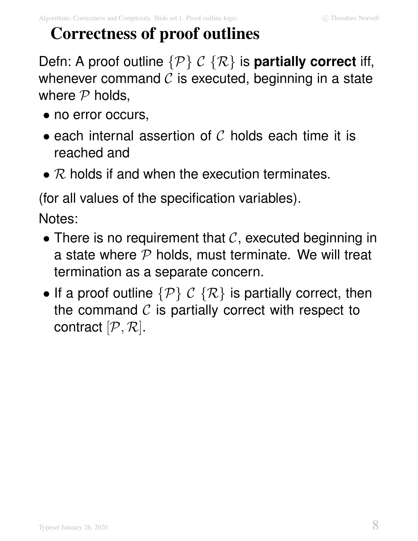## **Correctness of proof outlines**

Defn: A proof outline  $\{\mathcal{P}\}\mathcal{C}\{\mathcal{R}\}\$ is **partially correct** iff, whenever command  $C$  is executed, beginning in a state where  $P$  holds,

- no error occurs,
- each internal assertion of  $C$  holds each time it is reached and
- $R$  holds if and when the execution terminates.

(for all values of the specification variables).

Notes:

- There is no requirement that  $C$ , executed beginning in a state where  $P$  holds, must terminate. We will treat termination as a separate concern.
- If a proof outline  $\{\mathcal{P}\}\mathcal{C}\{\mathcal{R}\}\$  is partially correct, then the command  $\mathcal C$  is partially correct with respect to contract  $[\mathcal{P}, \mathcal{R}].$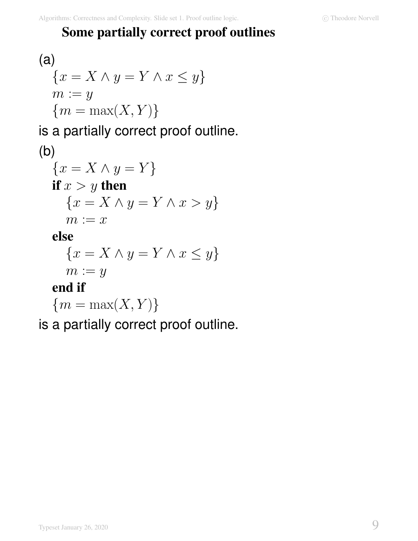#### **Some partially correct proof outlines**

(a)  
\n
$$
\{x = X \land y = Y \land x \le y\}
$$
\n
$$
m := y
$$
\n
$$
\{m = \max(X, Y)\}
$$

is a partially correct proof outline.

(b)  
\n
$$
\{x = X \land y = Y\}
$$
\nif  $x > y$  then  
\n
$$
\{x = X \land y = Y \land x > y\}
$$
\n
$$
m := x
$$

**else**

$$
\{x = X \land y = Y \land x \le y\}
$$

$$
m := y
$$

**end if**

$$
\{m = \max(X, Y)\}
$$

is a partially correct proof outline.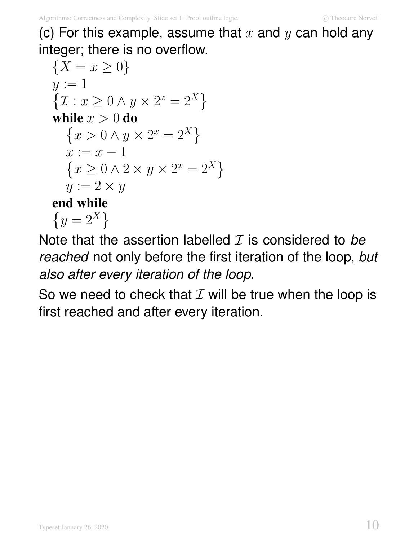(c) For this example, assume that  $x$  and  $y$  can hold any integer; there is no overflow.

$$
\{X = x \ge 0\}
$$
  
y := 1  

$$
\{Z : x \ge 0 \land y \times 2^{x} = 2^{X}\}
$$
  
while x > 0 do  

$$
\{x > 0 \land y \times 2^{x} = 2^{X}\}
$$
  
x := x - 1  

$$
\{x \ge 0 \land 2 \times y \times 2^{x} = 2^{X}\}
$$
  
y := 2 × y  
end while  

$$
\{y = 2^{X}\}
$$

Note that the assertion labelled  $\mathcal I$  is considered to be reached not only before the first iteration of the loop, but also after every iteration of the loop.

So we need to check that  $\mathcal I$  will be true when the loop is first reached and after every iteration.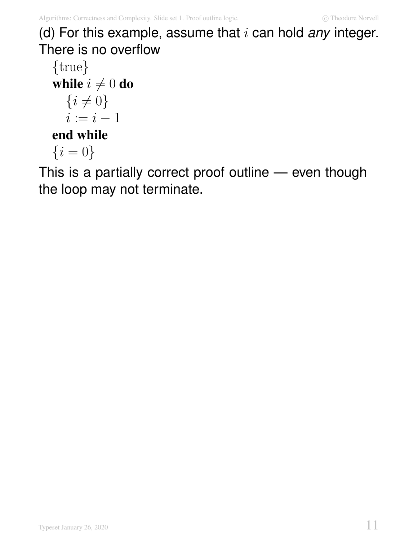(d) For this example, assume that  $i$  can hold any integer. There is no overflow

$$
{\text{true}\atop\text{while }i\neq 0\text{ do} \atop \{i\neq 0\}} \atop \{i=0\}}\n\begin{array}{c}\n\text{while }i\neq 0\text{ do} \\
i:=i-1\n\end{array}
$$

### **end while**

$$
\{i=0\}
$$

This is a partially correct proof outline — even though the loop may not terminate.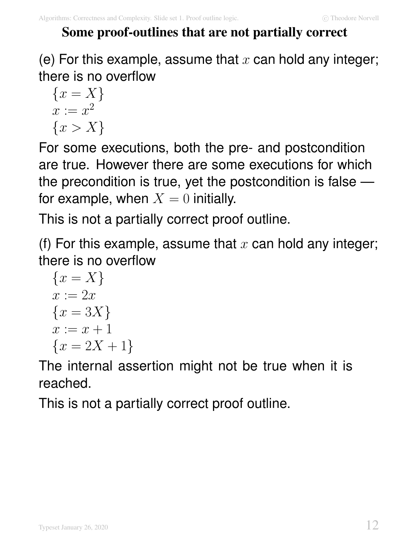#### **Some proof-outlines that are not partially correct**

(e) For this example, assume that  $x$  can hold any integer; there is no overflow

$$
\{x = X\}
$$
  

$$
x := x^2
$$
  

$$
\{x > X\}
$$

For some executions, both the pre- and postcondition are true. However there are some executions for which the precondition is true, yet the postcondition is false for example, when  $X = 0$  initially.

This is not a partially correct proof outline.

(f) For this example, assume that  $x$  can hold any integer; there is no overflow

 ${x = X}$  $x := 2x$  ${x = 3X}$  $x := x + 1$  ${x = 2X + 1}$ 

The internal assertion might not be true when it is reached.

This is not a partially correct proof outline.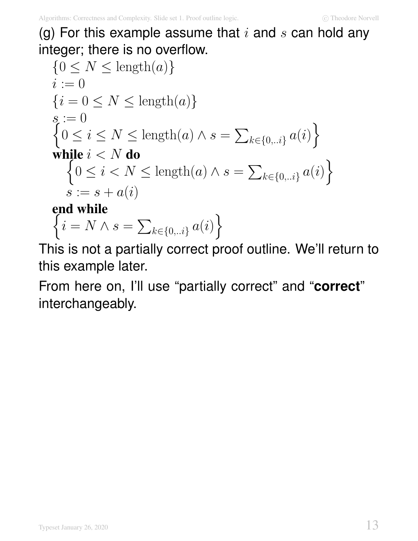(g) For this example assume that  $i$  and  $s$  can hold any integer; there is no overflow.

$$
\{0 \le N \le \text{length}(a)\}
$$
  
\n $i := 0$   
\n
$$
\{i = 0 \le N \le \text{length}(a)\}
$$
  
\n
$$
s := 0
$$
  
\n
$$
\{0 \le i \le N \le \text{length}(a) \land s = \sum_{k \in \{0, \ldots\}} a(i)\}
$$
  
\nwhile  $i < N$  do  
\n
$$
\{0 \le i < N \le \text{length}(a) \land s = \sum_{k \in \{0, \ldots i\}} a(i)\}
$$
  
\n $s := s + a(i)$   
\nend while

$$
\left\{ i = N \wedge s = \sum_{k \in \{0,..i\}} a(i) \right\}
$$

This is not a partially correct proof outline. We'll return to this example later.

From here on, I'll use "partially correct" and "**correct**" interchangeably.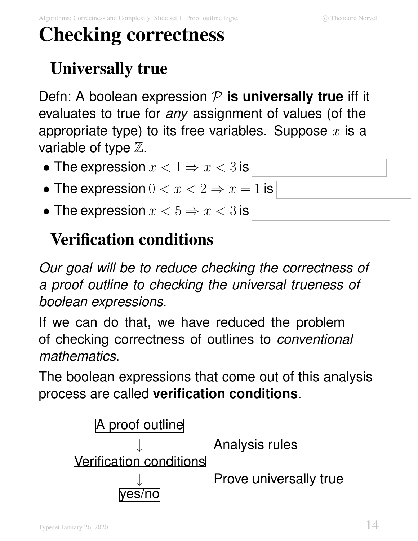# **Checking correctness**

## **Universally true**

Defn: A boolean expression  $P$  is universally true iff it evaluates to true for any assignment of values (of the appropriate type) to its free variables. Suppose  $x$  is a variable of type  $\mathbb Z$ .

- The expression  $x < 1 \Rightarrow x < 3$  is
- The expression  $0 < x < 2 \Rightarrow x = 1$  is
- The expression  $x < 5 \Rightarrow x < 3$  is

## **Verification conditions**

Our goal will be to reduce checking the correctness of a proof outline to checking the universal trueness of boolean expressions.

If we can do that, we have reduced the problem of checking correctness of outlines to *conventional* mathematics.

The boolean expressions that come out of this analysis process are called **verification conditions**.



Analysis rules

Prove universally true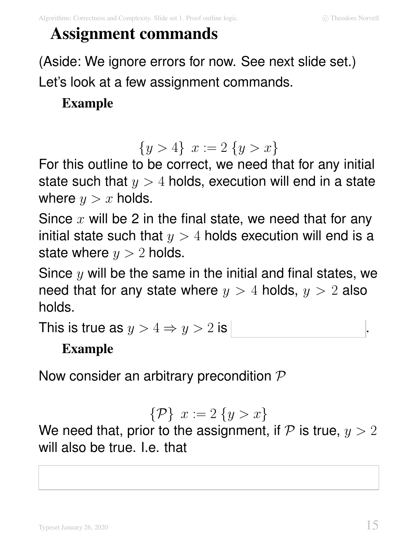## **Assignment commands**

(Aside: We ignore errors for now. See next slide set.) Let's look at a few assignment commands.

#### **Example**

 $\{y > 4\}$   $x := 2 \{y > x\}$ 

For this outline to be correct, we need that for any initial state such that  $y > 4$  holds, execution will end in a state where  $y > x$  holds.

Since  $x$  will be 2 in the final state, we need that for any initial state such that  $y > 4$  holds execution will end is a state where  $y > 2$  holds.

Since  $y$  will be the same in the initial and final states, we need that for any state where  $y > 4$  holds,  $y > 2$  also holds.

This is true as  $y > 4 \Rightarrow y > 2$  is

### **Example**

Now consider an arbitrary precondition  $\mathcal P$ 

$$
\{\mathcal{P}\} \ x := 2 \{y > x\}
$$

We need that, prior to the assignment, if P is true,  $y > 2$ will also be true. I.e. that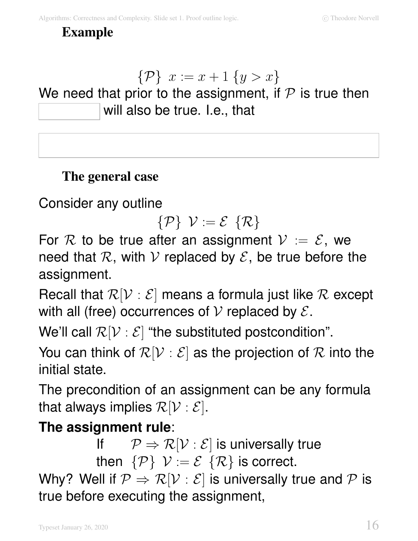#### **Example**

## $\{\mathcal{P}\}\ x := x + 1 \{y > x\}$

We need that prior to the assignment, if  $P$  is true then will also be true. I.e., that

#### **The general case**

Consider any outline

$$
\{\mathcal{P}\} \ \mathcal{V} := \mathcal{E} \ \{\mathcal{R}\}
$$

For R to be true after an assignment  $V := \mathcal{E}$ , we need that  $\mathcal{R}$ , with  $\mathcal V$  replaced by  $\mathcal E$ , be true before the assignment.

Recall that  $\mathcal{R}[\mathcal{V}:\mathcal{E}]$  means a formula just like  $\mathcal R$  except with all (free) occurrences of  $V$  replaced by  $\mathcal E$ .

We'll call  $\mathcal{R}[\mathcal{V}:\mathcal{E}]$  "the substituted postcondition".

You can think of  $\mathcal{R}[\mathcal{V}:\mathcal{E}]$  as the projection of  $\mathcal R$  into the initial state.

The precondition of an assignment can be any formula that always implies  $\mathcal{R}[\mathcal{V}:\mathcal{E}].$ 

### **The assignment rule**:

If  $\mathcal{P} \Rightarrow \mathcal{R}[\mathcal{V}:\mathcal{E}]$  is universally true then  $\{\mathcal{P}\}\ \mathcal{V} := \mathcal{E}\ \{\mathcal{R}\}\$ is correct.

Why? Well if  $P \Rightarrow R[V : \mathcal{E}]$  is universally true and P is true before executing the assignment,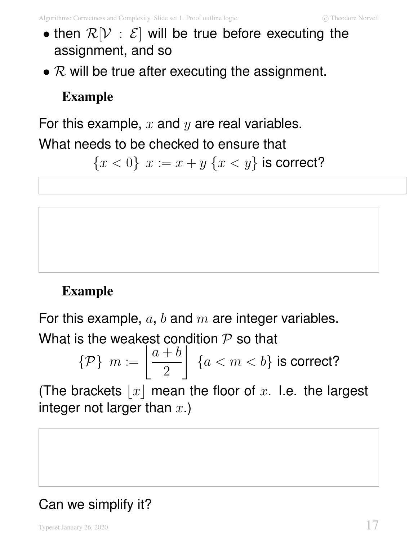- then  $\mathcal{R}[\mathcal{V}:\mathcal{E}]$  will be true before executing the assignment, and so
- $R$  will be true after executing the assignment.

### **Example**

For this example,  $x$  and  $y$  are real variables.

What needs to be checked to ensure that

 ${x < 0}$   $x := x + y$   ${x < y}$  is correct?

## **Example**

For this example,  $a, b$  and  $m$  are integer variables. What is the weakest condition  $\mathcal P$  so that

$$
\{\mathcal{P}\} \ m := \left[\frac{a+b}{2}\right] \{a < m < b\} \text{ is correct?}
$$

(The brackets  $|x|$  mean the floor of x. I.e. the largest integer not larger than  $x.$ )

## Can we simplify it?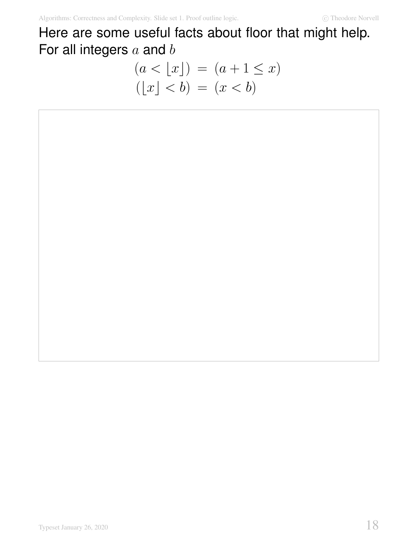Here are some useful facts about floor that might help. For all integers  $a$  and  $b$ 

$$
(a < \lfloor x \rfloor) = (a + 1 \le x)
$$
  

$$
(\lfloor x \rfloor < b) = (x < b)
$$

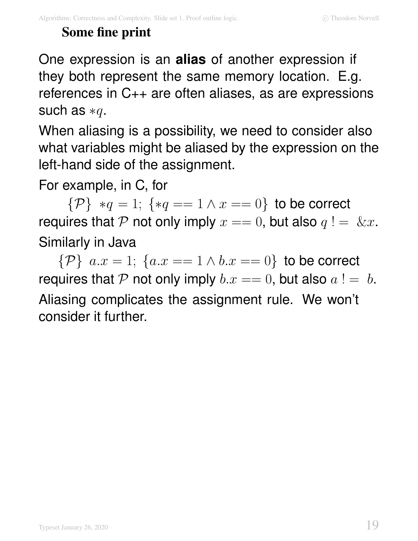### **Some fine print**

One expression is an **alias** of another expression if they both represent the same memory location. E.g. references in C++ are often aliases, as are expressions such as  $*q$ .

When aliasing is a possibility, we need to consider also what variables might be aliased by the expression on the left-hand side of the assignment.

For example, in C, for

 $\{\mathcal{P}\}\ *q = 1; \; \{ *q == 1 \wedge x == 0 \}$  to be correct requires that P not only imply  $x == 0$ , but also  $q! = \&x$ . Similarly in Java

 $\{\mathcal{P}\}\ a.x = 1; \{a.x == 1 \wedge b.x == 0\}\ to be correct$ requires that P not only imply  $b.x == 0$ , but also  $a != b$ . Aliasing complicates the assignment rule. We won't consider it further.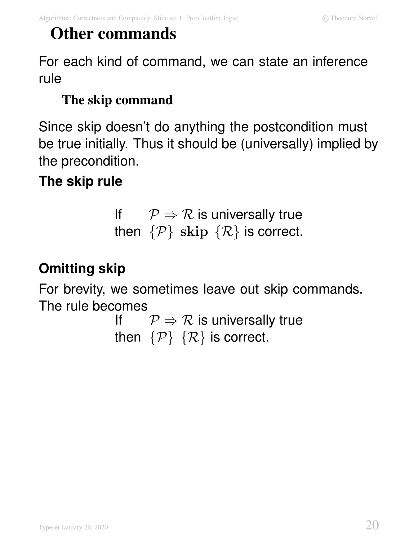## **Other commands**

For each kind of command, we can state an inference rule

### **The skip command**

Since skip doesn't do anything the postcondition must be true initially. Thus it should be (universally) implied by the precondition.

### **The skip rule**

If  $\mathcal{P} \Rightarrow \mathcal{R}$  is universally true then  $\{\mathcal{P}\}\$  skip  $\{\mathcal{R}\}\$ is correct.

## **Omitting skip**

For brevity, we sometimes leave out skip commands. The rule becomes

If  $\mathcal{P} \Rightarrow \mathcal{R}$  is universally true then  $\{\mathcal{P}\}\{\mathcal{R}\}\$ is correct.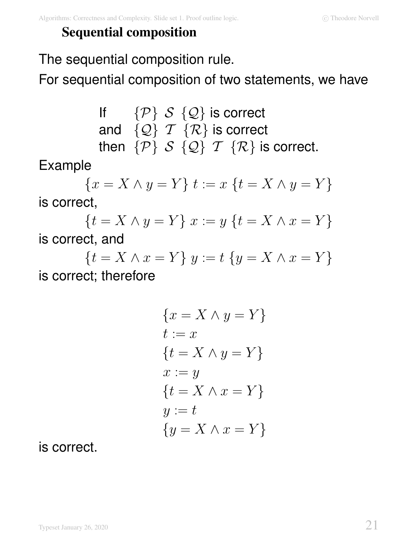#### **Sequential composition**

The sequential composition rule.

For sequential composition of two statements, we have

If 
$$
\{\mathcal{P}\}\ S \{\mathcal{Q}\}
$$
 is correct  
and  $\{\mathcal{Q}\}\ T \{\mathcal{R}\}$  is correct  
then  $\{\mathcal{P}\}\ S \{\mathcal{Q}\}\ T \{\mathcal{R}\}$  is correct.

Example

 ${x = X \wedge y = Y} t := x {t = X \wedge y = Y}$ 

is correct,

 ${t = X \land y = Y} x := y {t = X \land x = Y}$ is correct, and

 ${t = X \land x = Y}$   $y := t$   ${y = X \land x = Y}$ is correct; therefore

$$
\{x = X \land y = Y\}
$$
  
\n
$$
t := x
$$
  
\n
$$
\{t = X \land y = Y\}
$$
  
\n
$$
x := y
$$
  
\n
$$
\{t = X \land x = Y\}
$$
  
\n
$$
y := t
$$
  
\n
$$
\{y = X \land x = Y\}
$$

is correct.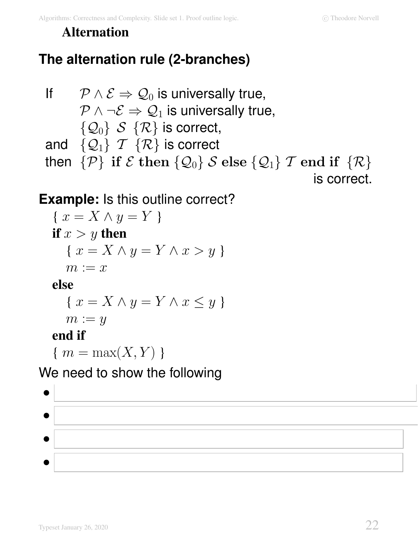#### **Alternation**

## **The alternation rule (2-branches)**

```
If \mathcal{P} \wedge \mathcal{E} \Rightarrow \mathcal{Q}_0 is universally true,
            P \wedge \neg \mathcal{E} \Rightarrow \mathcal{Q}_1 is universally true,
            \{\mathcal{Q}_0\} S \{\mathcal{R}\} is correct,
and \{Q_1\} \mathcal{T} \{\mathcal{R}\} is correct
then \{\mathcal{P}\}\if \mathcal{E} then \{\mathcal{Q}_0\} \mathcal{S} else \{\mathcal{Q}_1\} \mathcal{T} end if \{\mathcal{R}\}\is correct.
```
### **Example:** Is this outline correct?

$$
\{ x = X \land y = Y \}
$$
  
if  $x > y$  then  

$$
\{ x = X \land y = Y \land x > y \}
$$
  

$$
m := x
$$

#### **else**

$$
\{ x = X \land y = Y \land x \le y \}
$$

$$
m:=y
$$

#### **end if**

{ $m = \max(X, Y)$ }

We need to show the following

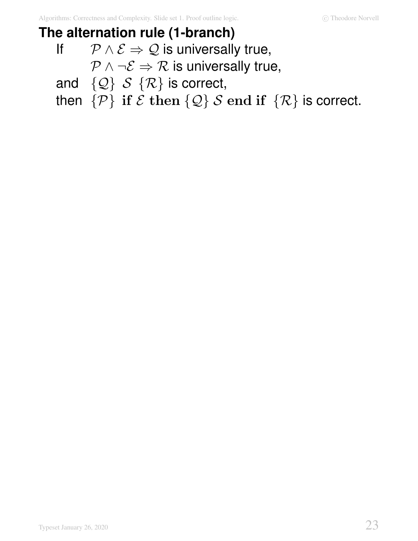#### **The alternation rule (1-branch)**

If  $\mathcal{P} \wedge \mathcal{E} \Rightarrow \mathcal{Q}$  is universally true,

 $P \wedge \neg \mathcal{E} \Rightarrow \mathcal{R}$  is universally true,

and  $\{Q\}$  S  $\{R\}$  is correct,

then  $\{\mathcal{P}\}\$  if  $\mathcal{E}$  then  $\{\mathcal{Q}\}\$   $S$  end if  $\{\mathcal{R}\}\$  is correct.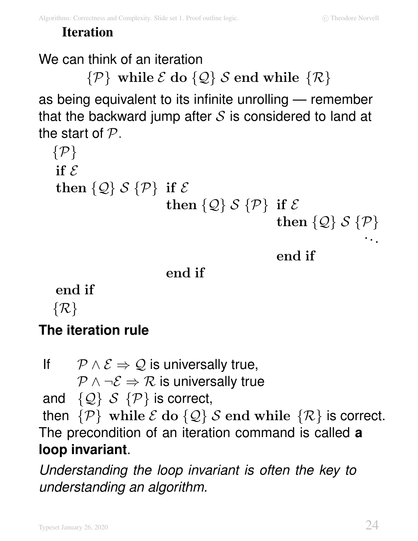#### **Iteration**

### We can think of an iteration

## $\{\mathcal{P}\}\$  while  $\mathcal{E}$  do  $\{\mathcal{Q}\}\$  S end while  $\{\mathcal{R}\}\$

as being equivalent to its infinite unrolling — remember that the backward jump after  $S$  is considered to land at the start of  $P$ .

```
\{P\}if \mathcal Ethen \{Q\} S \{\mathcal{P}\} if \mathcal{E}then \{Q\} S \{\mathcal{P}\} if E
                                                                then \{Q\} S \{\mathcal{P}\}...
```
end if

end if

end if

 $\{\mathcal{R}\}\$ 

## **The iteration rule**

```
If \mathcal{P} \wedge \mathcal{E} \Rightarrow \mathcal{Q} is universally true,
          P \wedge \neg \mathcal{E} \Rightarrow \mathcal{R} is universally true
and \{Q\} S \{P\} is correct,
then \{\mathcal{P}\}\ while \mathcal{E} do \{\mathcal{Q}\}\ \mathcal{S} end while \{\mathcal{R}\}\ is correct.
The precondition of an iteration command is called a
loop invariant.
```
Understanding the loop invariant is often the key to understanding an algorithm.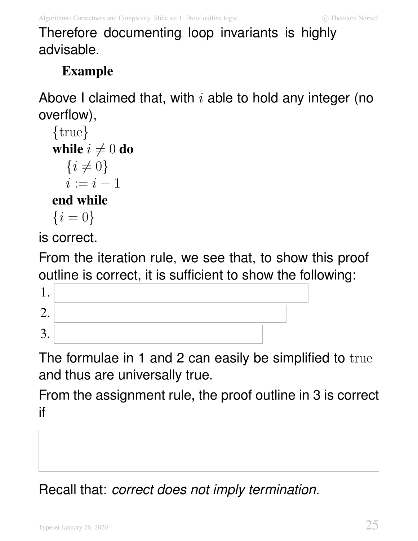Therefore documenting loop invariants is highly advisable.

### **Example**

Above I claimed that, with  $i$  able to hold any integer (no overflow),

```
{true}
while i \neq 0 do
  {i \neq 0}i := i - 1
```
**end while**

$$
\{i=0\}
$$

is correct.

From the iteration rule, we see that, to show this proof outline is correct, it is sufficient to show the following:



The formulae in 1 and 2 can easily be simplified to true and thus are universally true.

From the assignment rule, the proof outline in 3 is correct if

Recall that: correct does not imply termination.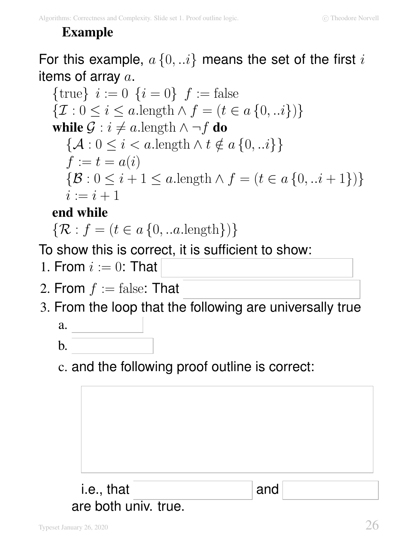### **Example**

## For this example,  $a\{0,..i\}$  means the set of the first i items of array  $a$ .

{true}  $i := 0$  { $i = 0$ }  $f :=$  false  $\{\mathcal{I}: 0 \le i \le a.\text{length} \wedge f = (t \in a\{0,..i\})\}$ **while**  $\mathcal{G}$  :  $i \neq a$ . length  $\wedge \neg f$  **do**  $\{\mathcal{A}: 0 \leq i < a.\text{length} \wedge t \notin a\{0,..i\}\}\$  $f := t = a(i)$  $\{\mathcal{B} : 0 \leq i + 1 \leq a.\text{length} \wedge f = (t \in a \{0, \ldots i + 1\})\}\$  $i := i + 1$ 

#### **end while**

$$
\{\mathcal{R}: f = (t \in a\{0,..a.\text{length}\})\}
$$

To show this is correct, it is sufficient to show:

- 1. From  $i := 0$ : That
- 2. From  $f := \text{false}$ : That
- 3. From the loop that the following are universally true
	- a.  $\Box$  $\mathbf{b}$ .
	- c. and the following proof outline is correct:

| i.e., that <i>i.e.</i> , that <i>i.e.</i> , that <i>i</i> | and |
|-----------------------------------------------------------|-----|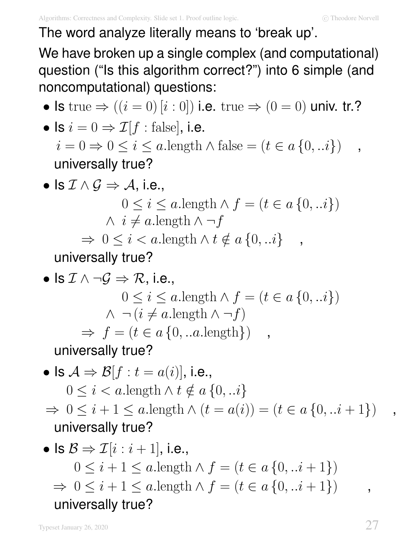### The word analyze literally means to 'break up'.

We have broken up a single complex (and computational) question ("Is this algorithm correct?") into 6 simple (and noncomputational) questions:

• Is true  $\Rightarrow ((i = 0) [i : 0])$  i.e. true  $\Rightarrow (0 = 0)$  univ. tr.?

\n- Is 
$$
i = 0 \Rightarrow \mathcal{I}[f : \text{false}]
$$
, i.e.  $i = 0 \Rightarrow 0 \leq i \leq a$ .length  $\wedge$  false =  $(t \in a \{0, \ldots i\})$ ,
\n- university true?
\n

• Is 
$$
\mathcal{I} \wedge \mathcal{G} \Rightarrow \mathcal{A}
$$
, i.e.,  
\n $0 \le i \le a$ .length  $\wedge f = (t \in a \{0, \ldots i\})$   
\n $\wedge i \ne a$ .length  $\wedge \neg f$   
\n $\Rightarrow 0 \le i < a$ .length  $\wedge t \notin a \{0, \ldots i\}$ ,  
\nuniversity true?

\n- \n
$$
\mathbf{S} \mathcal{I} \land \neg \mathcal{G} \Rightarrow \mathcal{R}
$$
, i.e.,\n  $0 \leq i \leq a.\text{length} \land f = (t \in a \{0, \ldots\})$ \n $\land \neg (i \neq a.\text{length} \land \neg f)$ \n $\Rightarrow f = (t \in a \{0, \ldots a.\text{length}\})$ ,\n  $\text{universally true?}$ \n
\n- \n $\mathbf{S} \mathcal{A} \Rightarrow \mathcal{B}[f : t = a(i)], \text{ i.e.,}$ \n $0 \leq i < a.\text{length} \land t \notin a \{0, \ldots\}$ \n $\Rightarrow 0 \leq i + 1 \leq a.\text{length} \land (t = a(i)) = (t \in a \{0, \ldots i + 1\})$ ,\n  $\text{universally true?}$ \n
\n- \n $\mathbf{S} \mathcal{B} \Rightarrow \mathcal{I}[i : i + 1], \text{ i.e.,}$ \n $0 \leq i + 1 \leq a.\text{length} \land f = (t \in a \{0, \ldots i + 1\})$ \n
\n

$$
\Rightarrow 0 \le i + 1 \le a.\text{length} \land f = (t \in a \{0, .. i + 1\}) \quad ,
$$
  
university true?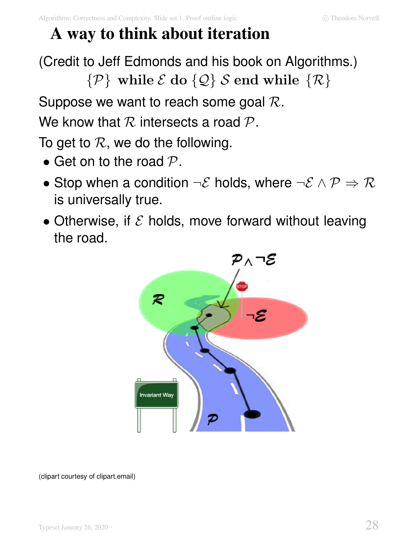## **A way to think about iteration**

(Credit to Jeff Edmonds and his book on Algorithms.)  $\{\mathcal{P}\}\$  while  $\mathcal{E}$  do  $\{\mathcal{Q}\}\$  S end while  $\{\mathcal{R}\}\$ 

Suppose we want to reach some goal  $\mathcal{R}$ .

We know that  $R$  intersects a road  $P$ .

To get to  $R$ , we do the following.

- Get on to the road  $P$ .
- Stop when a condition  $\neg \mathcal{E}$  holds, where  $\neg \mathcal{E} \land \mathcal{P} \Rightarrow \mathcal{R}$ is universally true.
- Otherwise, if  $\mathcal E$  holds, move forward without leaving the road.



(clipart courtesy of clipart.email)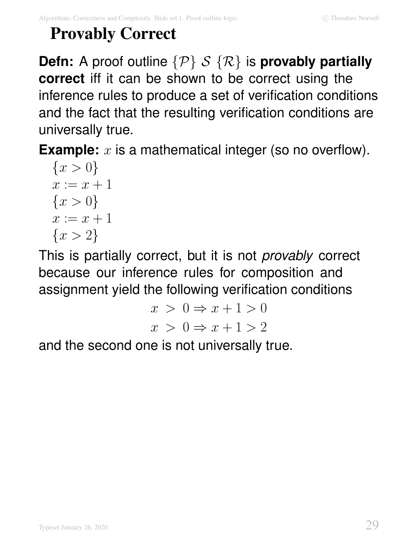## **Provably Correct**

**Defn:** A proof outline  $\{\mathcal{P}\}\ S \ \{\mathcal{R}\}\$  is **provably partially correct** iff it can be shown to be correct using the inference rules to produce a set of verification conditions and the fact that the resulting verification conditions are universally true.

**Example:** x is a mathematical integer (so no overflow).

$$
{x > 0}
$$
  
x := x + 1  

$$
{x > 0}
$$
  
x := x + 1  

$$
{x > 2}
$$

This is partially correct, but it is not *provably* correct because our inference rules for composition and assignment yield the following verification conditions

> $x > 0 \Rightarrow x + 1 > 0$  $x > 0 \Rightarrow x + 1 > 2$

and the second one is not universally true.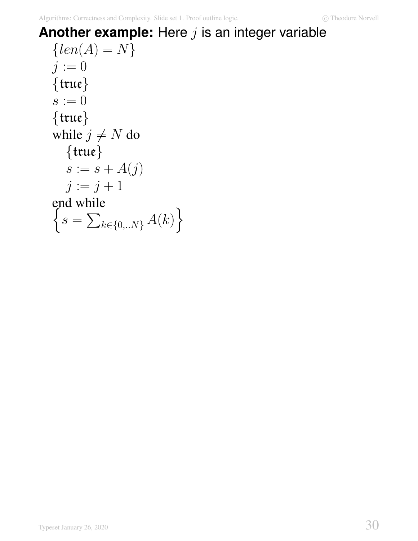### **Another example:** Here *j* is an integer variable

 $\{len(A) = N\}$  $j := 0$ {true}  $s := 0$ {true} while  $j \neq N$  do {true}  $s := s + A(j)$  $j := j + 1$ end while  $\int$  $s = \sum_{k \in \{0,..N\}} A(k)$  $\overline{\mathcal{L}}$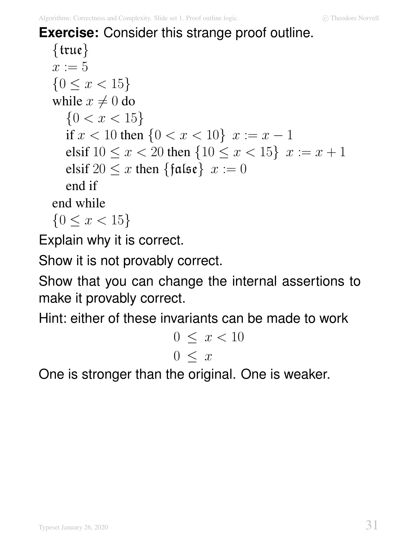## **Exercise:** Consider this strange proof outline. {true}  $x := 5$  ${0 \leq x < 15}$ while  $x \neq 0$  do

 ${0 < x < 15}$ if  $x < 10$  then  $\{0 < x < 10\}$   $x := x - 1$ elsif  $10 \le x < 20$  then  $\{10 \le x < 15\}$   $x := x + 1$ elsif  $20 \leq x$  then {false}  $x := 0$ end if end while

$$
\{0 \le x < 15\}
$$

Explain why it is correct.

Show it is not provably correct.

Show that you can change the internal assertions to make it provably correct.

Hint: either of these invariants can be made to work

$$
0 \le x < 10
$$
\n
$$
0 \le x
$$

One is stronger than the original. One is weaker.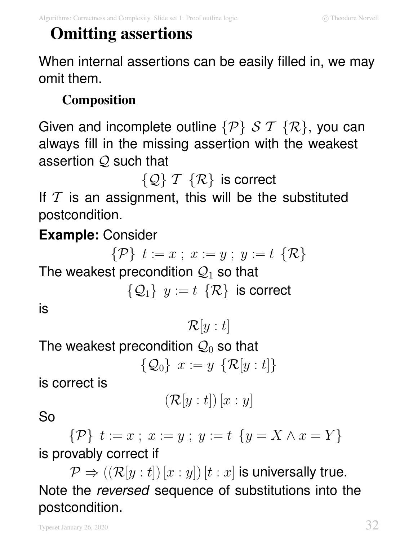## **Omitting assertions**

When internal assertions can be easily filled in, we may omit them.

## **Composition**

Given and incomplete outline  $\{\mathcal{P}\}\ S\ \mathcal{T}\ \{\mathcal{R}\}\$ , you can always fill in the missing assertion with the weakest assertion  $Q$  such that

 $\{Q\}$  T  $\{R\}$  is correct

If  $T$  is an assignment, this will be the substituted postcondition.

## **Example:** Consider

$$
\{\mathcal{P}\} \ t := x \ ; \ x := y \ ; \ y := t \ \{\mathcal{R}\}
$$

The weakest precondition  $\mathcal{Q}_1$  so that

 $\{Q_1\}$   $y := t \{R\}$  is correct

is

 $\mathcal{R}[y:t]$ 

The weakest precondition 
$$
\mathcal{Q}_0
$$
 so that

$$
\{\mathcal{Q}_0\} \ x := y \ \{\mathcal{R}[y:t]\}
$$

is correct is

$$
(\mathcal{R}[y:t])\left[x:y\right]
$$

So

 $\{\mathcal{P}\}\, t := x \; ; \; x := y \; ; \; y := t \; \{y = X \wedge x = Y\}$ is provably correct if

 $\mathcal{P} \Rightarrow (\mathcal{R}[y:t])[x:y])[t:x]$  is universally true. Note the reversed sequence of substitutions into the postcondition.